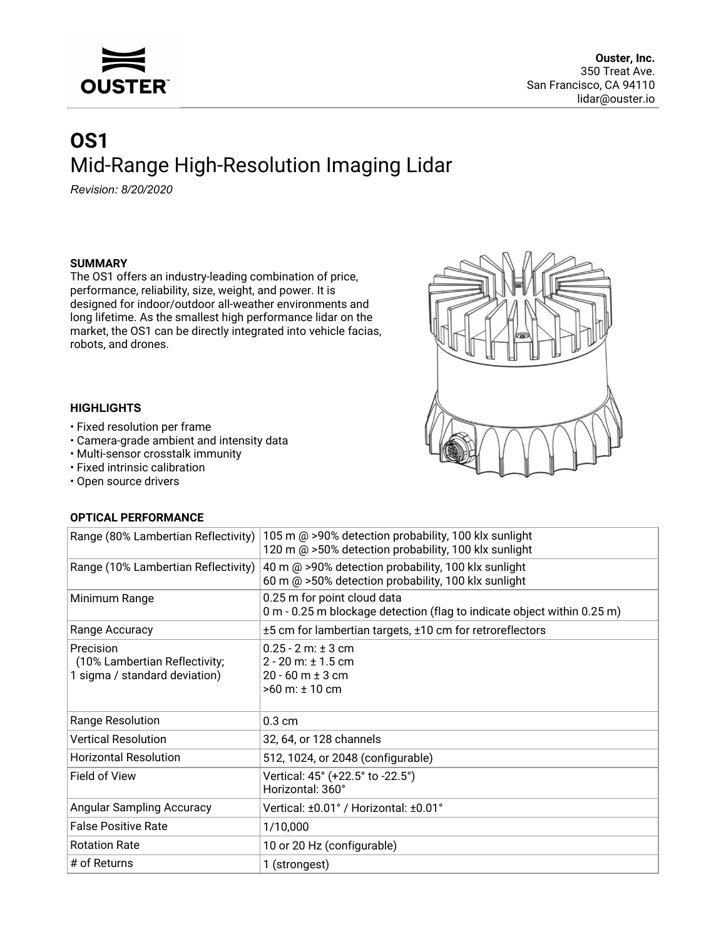

# **OS1** Mid-Range High-Resolution Imaging Lidar

*Revision: 8/20/2020*

#### **SUMMARY**

The OS1 offers an industry-leading combination of price, performance, reliability, size, weight, and power. It is designed for indoor/outdoor all-weather environments and long lifetime. As the smallest high performance lidar on the market, the OS1 can be directly integrated into vehicle facias, robots, and drones.

#### **HIGHLIGHTS**

- Fixed resolution per frame
- Camera-grade ambient and intensity data
- Multi-sensor crosstalk immunity
- Fixed intrinsic calibration
- Open source drivers

## **OPTICAL PERFORMANCE**

| UL LIUAL LEIN UNIVIAIVU                                                     |                                                                                                              |
|-----------------------------------------------------------------------------|--------------------------------------------------------------------------------------------------------------|
| Range (80% Lambertian Reflectivity)                                         | 105 m @ >90% detection probability, 100 klx sunlight<br>120 m @ >50% detection probability, 100 klx sunlight |
| Range (10% Lambertian Reflectivity)                                         | 40 m @ >90% detection probability, 100 klx sunlight<br>60 m @ >50% detection probability, 100 klx sunlight   |
| Minimum Range                                                               | 0.25 m for point cloud data<br>0 m - 0.25 m blockage detection (flag to indicate object within 0.25 m)       |
| Range Accuracy                                                              | ±5 cm for lambertian targets, ±10 cm for retroreflectors                                                     |
| Precision<br>(10% Lambertian Reflectivity;<br>1 sigma / standard deviation) | $0.25 - 2$ m: $\pm$ 3 cm<br>$2 - 20$ m: $\pm 1.5$ cm<br>$20 - 60$ m $\pm$ 3 cm<br>$>60$ m: $± 10$ cm         |
| Range Resolution                                                            | $0.3 \text{ cm}$                                                                                             |
| <b>Vertical Resolution</b>                                                  | 32, 64, or 128 channels                                                                                      |
| <b>Horizontal Resolution</b>                                                | 512, 1024, or 2048 (configurable)                                                                            |
| Field of View                                                               | Vertical: 45° (+22.5° to -22.5°)<br>Horizontal: 360°                                                         |
| <b>Angular Sampling Accuracy</b>                                            | Vertical: ±0.01° / Horizontal: ±0.01°                                                                        |
| <b>False Positive Rate</b>                                                  | 1/10,000                                                                                                     |
| <b>Rotation Rate</b>                                                        | 10 or 20 Hz (configurable)                                                                                   |
| # of Returns                                                                | 1 (strongest)                                                                                                |

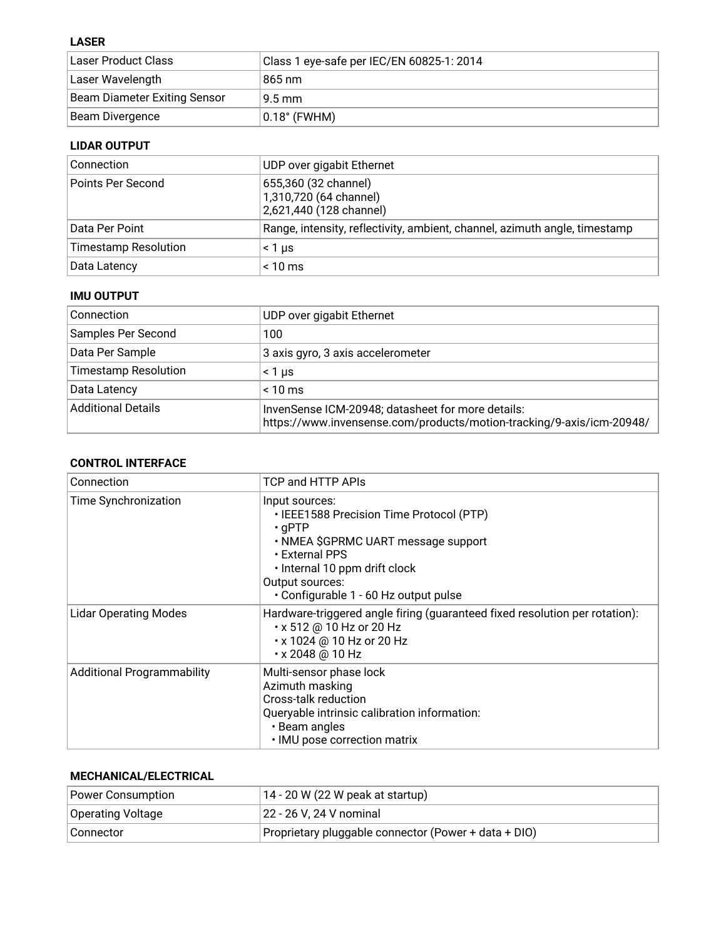## **LASER**

| ، Laser Product Class        | Class 1 eye-safe per IEC/EN 60825-1: 2014 |
|------------------------------|-------------------------------------------|
| Laser Wavelength             | 865 nm                                    |
| Beam Diameter Exiting Sensor | $9.5 \,\mathrm{mm}$                       |
| Beam Divergence              | $0.18^{\circ}$ (FWHM)                     |

# **LIDAR OUTPUT**

| Connection                  | UDP over gigabit Ethernet                                                  |
|-----------------------------|----------------------------------------------------------------------------|
| Points Per Second           | 655,360 (32 channel)<br>1,310,720 (64 channel)<br>2,621,440 (128 channel)  |
| Data Per Point              | Range, intensity, reflectivity, ambient, channel, azimuth angle, timestamp |
| <b>Timestamp Resolution</b> | < 1 us                                                                     |
| Data Latency                | $< 10 \text{ ms}$                                                          |

## **IMU OUTPUT**

| Connection                  | UDP over gigabit Ethernet                                                                                                  |
|-----------------------------|----------------------------------------------------------------------------------------------------------------------------|
| Samples Per Second          | 100                                                                                                                        |
| Data Per Sample             | 3 axis gyro, 3 axis accelerometer                                                                                          |
| <b>Timestamp Resolution</b> | < 1 µs                                                                                                                     |
| Data Latency                | $< 10$ ms                                                                                                                  |
| <b>Additional Details</b>   | InvenSense ICM-20948; datasheet for more details:<br>https://www.invensense.com/products/motion-tracking/9-axis/icm-20948/ |

## **CONTROL INTERFACE**

| Connection                        | TCP and HTTP APIs                                                                                                                                                                                                                |
|-----------------------------------|----------------------------------------------------------------------------------------------------------------------------------------------------------------------------------------------------------------------------------|
| Time Synchronization              | Input sources:<br>• IEEE1588 Precision Time Protocol (PTP)<br>$\cdot$ qPTP<br>• NMEA \$GPRMC UART message support<br>• External PPS<br>. Internal 10 ppm drift clock<br>Output sources:<br>· Configurable 1 - 60 Hz output pulse |
| <b>Lidar Operating Modes</b>      | Hardware-triggered angle firing (guaranteed fixed resolution per rotation):<br>$\cdot$ x 512 @ 10 Hz or 20 Hz<br>• x 1024 @ 10 Hz or 20 Hz<br>• x 2048 @ 10 Hz                                                                   |
| <b>Additional Programmability</b> | Multi-sensor phase lock<br>Azimuth masking<br>Cross-talk reduction<br>Queryable intrinsic calibration information:<br>• Beam angles<br>· IMU pose correction matrix                                                              |

### **MECHANICAL/ELECTRICAL**

| Power Consumption | $14 - 20$ W (22 W peak at startup)                   |
|-------------------|------------------------------------------------------|
| Operating Voltage | 22 - 26 V, 24 V nominal                              |
| Connector         | Proprietary pluggable connector (Power + data + DIO) |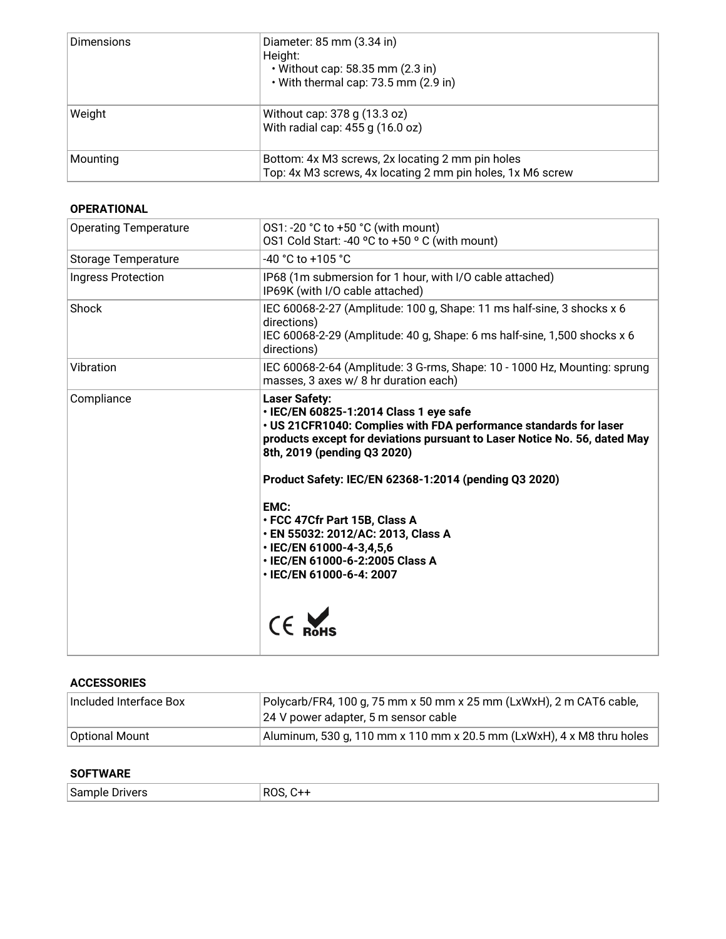| <b>Dimensions</b> | Diameter: 85 mm (3.34 in)<br>Height:<br>$\cdot$ Without cap: 58.35 mm (2.3 in)<br>• With thermal cap: 73.5 mm (2.9 in) |
|-------------------|------------------------------------------------------------------------------------------------------------------------|
| Weight            | Without cap: 378 g (13.3 oz)<br>With radial cap: 455 g (16.0 oz)                                                       |
| Mounting          | Bottom: 4x M3 screws, 2x locating 2 mm pin holes<br>Top: 4x M3 screws, 4x locating 2 mm pin holes, 1x M6 screw         |

#### **OPERATIONAL**

| <b>Operating Temperature</b> | OS1: -20 °C to +50 °C (with mount)<br>OS1 Cold Start: -40 °C to +50 °C (with mount)                                                                                                                                                                                                                                                                                                                                                                                                |
|------------------------------|------------------------------------------------------------------------------------------------------------------------------------------------------------------------------------------------------------------------------------------------------------------------------------------------------------------------------------------------------------------------------------------------------------------------------------------------------------------------------------|
| <b>Storage Temperature</b>   | $-40$ °C to $+105$ °C                                                                                                                                                                                                                                                                                                                                                                                                                                                              |
| Ingress Protection           | IP68 (1m submersion for 1 hour, with I/O cable attached)<br>IP69K (with I/O cable attached)                                                                                                                                                                                                                                                                                                                                                                                        |
| Shock                        | IEC 60068-2-27 (Amplitude: 100 g, Shape: 11 ms half-sine, 3 shocks x 6<br>directions)<br>IEC 60068-2-29 (Amplitude: 40 g, Shape: 6 ms half-sine, 1,500 shocks x 6<br>directions)                                                                                                                                                                                                                                                                                                   |
| Vibration                    | IEC 60068-2-64 (Amplitude: 3 G-rms, Shape: 10 - 1000 Hz, Mounting: sprung<br>masses, 3 axes w/ 8 hr duration each)                                                                                                                                                                                                                                                                                                                                                                 |
| Compliance                   | <b>Laser Safety:</b><br>• IEC/EN 60825-1:2014 Class 1 eye safe<br>. US 21CFR1040: Complies with FDA performance standards for laser<br>products except for deviations pursuant to Laser Notice No. 56, dated May<br>8th, 2019 (pending Q3 2020)<br>Product Safety: IEC/EN 62368-1:2014 (pending Q3 2020)<br>EMC:<br>• FCC 47Cfr Part 15B, Class A<br>· EN 55032: 2012/AC: 2013, Class A<br>· IEC/EN 61000-4-3,4,5,6<br>• IEC/EN 61000-6-2:2005 Class A<br>· IEC/EN 61000-6-4: 2007 |

#### **ACCESSORIES**

| ∣Included Interface Box | Polycarb/FR4, 100 g, 75 mm x 50 mm x 25 mm (LxWxH), 2 m CAT6 cable,<br>24 V power adapter, 5 m sensor cable |
|-------------------------|-------------------------------------------------------------------------------------------------------------|
| <b>Optional Mount</b>   | Aluminum, 530 g, 110 mm x 110 mm x 20.5 mm (LxWxH), 4 x M8 thru holes                                       |

#### **SOFTWARE**

| <sup>l</sup> Sample<br>-<br>Drivers | D0<br>RC. |
|-------------------------------------|-----------|
|-------------------------------------|-----------|